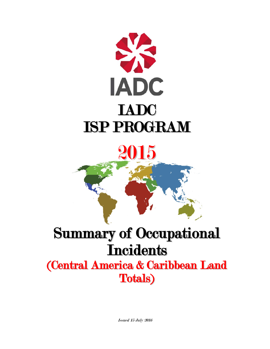

2015

# Summary of Occupational **Incidents**

(Central America & Caribbean Land Totals)

Issued 15 July 2016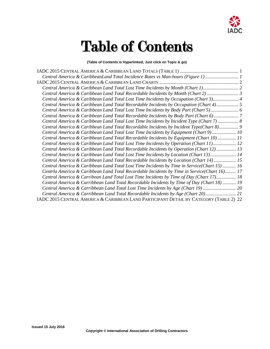

# Table of Contents

**(Table of Contents is Hyperlinked, Just click on Topic & go)**

| Central America & CaribbeanLand Total Incidence Rates vs Man-hours (Figure 1)  1               |
|------------------------------------------------------------------------------------------------|
|                                                                                                |
| Central America & Caribbean Land Total Lost Time Incidents by Month (Chart 1)                  |
| Central America & Caribbean Land Total Recordable Incidents by Month (Chart 2) 3               |
| Central America & Caribbean Land Total Lost Time Incidents by Occupation (Chart 3) 4           |
| Central America & Caribbean Land Total Recordable Incidents by Occupation (Chart 4) 5          |
| Central America & Caribbean Land Total Lost Time Incidents by Body Part (Chart 5) 6            |
| Central America & Caribbean Land Total Recordable Incidents by Body Part (Chart 6)             |
| Central America & Caribbean Land Total Lost Time Incidents by Incident Type (Chart 7) 8        |
| Central America & Caribbean Land Total Recordable Incidents by Incident Type(Chart 8) 9        |
| Central America & Caribbean Land Total Lost Time Incidents by Equipment (Chart 9) 10           |
| Central America & Caribbean Land Total Recordable Incidents by Equipment (Chart 10)  11        |
| Central America & Caribbean Land Total Lost Time Incidents by Operation (Chart 11) 12          |
| Central America & Caribbean Land Total Recordable Incidents by Operation (Chart 12) 13         |
| Central America & Caribbean Land Total Lost Time Incidents by Location (Chart 13) 14           |
| Central America & Caribbean Land Total Recordable Incidents by Location (Chart 14)  15         |
| 16. Central America & Caribbean Land Total Lost Time Incidents by Time in Service(Chart 15) 16 |
| Centrla America & Caribbean Land Total Recordable Incidents by Time in Service(Chart 16) 17    |
| Central America & Carribean Land Total Lost Time Incidents by Time of Day (Chart 17) 18        |
| 19 Central America & Carribbean Land Total Recordable Incidents by Time of Day (Chart 18)      |
| 20 Central America & Carribbean Land Total Lost Time Incidents by Age (Chart 19)               |
| Central America & Carribbean Land Total Recordable Incidents by Age (Chart 20) 21              |
| IADC 2015 CENTRAL AMERICA & CARIBBEAN LAND PARTICIPANT DETAIL BY CATEGORY (TABLE 2) 22         |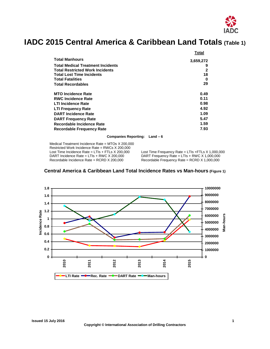

# <span id="page-2-0"></span>**IADC 2015 Central America & Caribbean Land Totals (Table 1)**

|                                          | Total     |
|------------------------------------------|-----------|
| <b>Total Manhours</b>                    | 3,659,272 |
| <b>Total Medical Treatment Incidents</b> | 9         |
| <b>Total Restricted Work Incidents</b>   | 2         |
| <b>Total Lost Time Incidents</b>         | 18        |
| <b>Total Fatalities</b>                  | 0         |
| <b>Total Recordables</b>                 | 29        |
| <b>MTO Incidence Rate</b>                | 0.49      |
| <b>RWC Incidence Rate</b>                | 0.11      |
| <b>LTI Incidence Rate</b>                | 0.98      |
| <b>LTI Frequency Rate</b>                | 4.92      |
| <b>DART Incidence Rate</b>               | 1.09      |
| <b>DART Frequency Rate</b>               | 5.47      |
| Recordable Incidence Rate                | 1.59      |
| <b>Recordable Frequency Rate</b>         | 7.93      |

#### **Companies Reporting: Land – 6**

Medical Treatment Incidence Rate = MTOs X 200,000 Restricted Work Incidence Rate = RWCs X 200,000 Lost Time Incidence Rate = LTIs + FTLs X 200,000 Lost Time Frequency Rate = LTIs + FTLs X 1,000,000<br>DART Incidence Rate = LTIs + RWC X 200,000 DART Frequency Rate = LTIs + RWC X 1,000,000 DART Incidence Rate = LTIs + RWC X 200,000 DART Frequency Rate = LTIs + RWC X 1,000,000<br>Recordable Incidence Rate = RCRD X 200,000 Recordable Frequency Rate = RCRD X 1,000,000

Recordable Frequency Rate = RCRD X 1,000,000

<span id="page-2-1"></span>

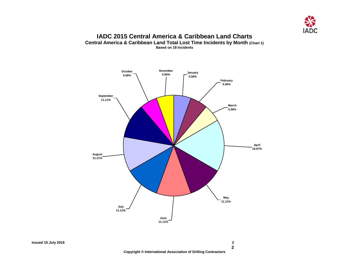

#### **IADC 2015 Central America & Caribbean Land Charts Central America & Caribbean Land Total Lost Time Incidents by Month (Chart 1) Based on 18 Incidents**

<span id="page-3-1"></span><span id="page-3-0"></span>

**2**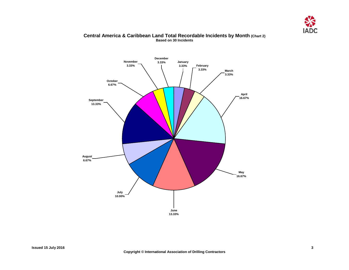

### <span id="page-4-0"></span>**January 3.33% February 3.33% March 3.33% April 16.67% May 16.67% June 13.33% July 10.00% August 6.67% September 13.33% October 6.67% November 3.33% December 3.33%**

#### **Central America & Caribbean Land Total Recordable Incidents by Month (Chart 2) Based on 30 Incidents**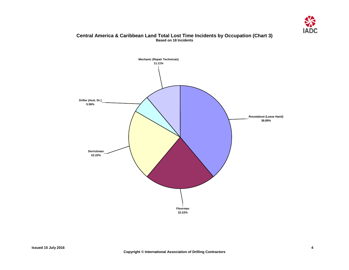

#### **Central America & Caribbean Land Total Lost Time Incidents by Occupation (Chart 3) Based on 18 Incidents**

<span id="page-5-0"></span>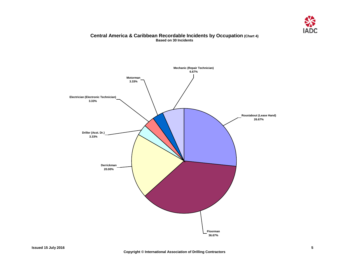

#### **Central America & Caribbean Recordable Incidents by Occupation (Chart 4) Based on 30 Incidents**

<span id="page-6-0"></span>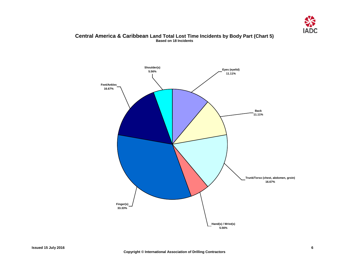

#### **Central America & Caribbean Land Total Lost Time Incidents by Body Part (Chart 5) Based on 18 Incidents**

<span id="page-7-0"></span>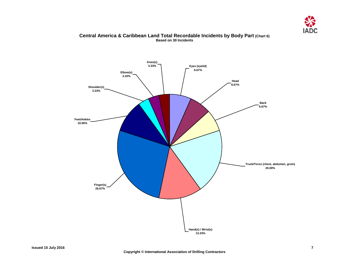

## <span id="page-8-0"></span>**Elbow(s) 3.33% Knee(s) 3.33% Shoulder(s) 3.33% Feet/Ankles 10.00% Finger(s) 26.67% Hand(s) / Wrist(s) 13.33% Trunk/Torso (chest, abdomen, groin) 20.00% Back 6.67% Head 6.67% Eyes (eyelid) 6.67%**

#### **Central America & Caribbean Land Total Recordable Incidents by Body Part (Chart 6) Based on 30 Incidents**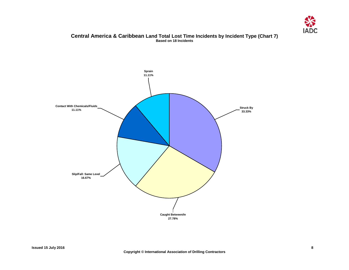

#### **Central America & Caribbean Land Total Lost Time Incidents by Incident Type (Chart 7) Based on 18 Incidents**

<span id="page-9-0"></span>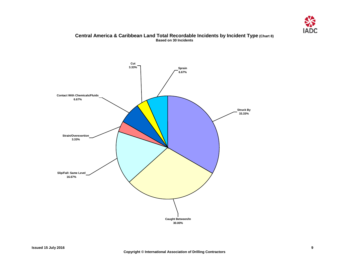

#### **Central America & Caribbean Land Total Recordable Incidents by Incident Type (Chart 8) Based on 30 Incidents**

<span id="page-10-0"></span>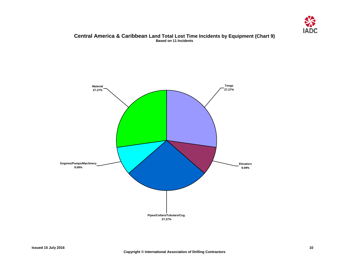

#### **Central America & Caribbean Land Total Lost Time Incidents by Equipment (Chart 9) Based on 11 Incidents**

<span id="page-11-0"></span>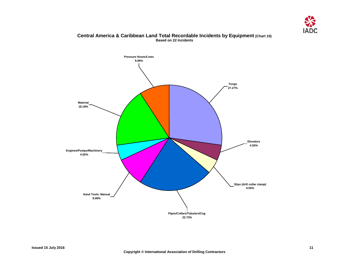

<span id="page-12-0"></span>

#### **Central America & Caribbean Land Total Recordable Incidents by Equipment (Chart 10) Based on 22 Incidents**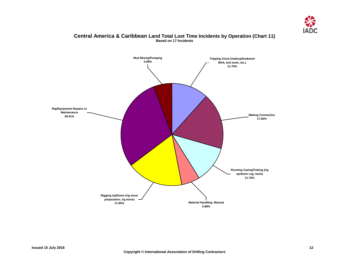

#### **Central America & Caribbean Land Total Lost Time Incidents by Operation (Chart 11) Based on 17 Incidents**

<span id="page-13-0"></span>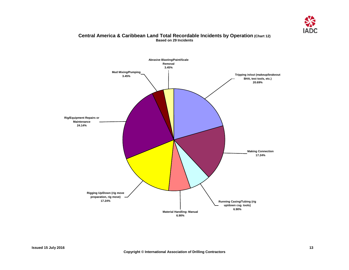

#### **Central America & Caribbean Land Total Recordable Incidents by Operation (Chart 12) Based on 29 Incidents**

<span id="page-14-0"></span>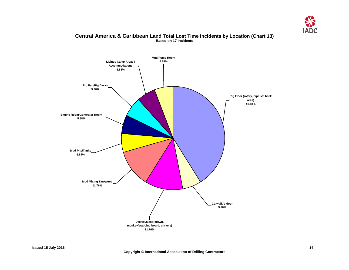

### <span id="page-15-0"></span>**Catwalk/V-door 5.88% Derrick/Mast (crown, monkey/stabbing board, a-frame) 11.76% Mud Mixing Tank/Area 11.76% Mud Pits/Tanks 5.88% Engine Room/Generator Room 5.88% Rig Pad/Rig Decks 5.88% Mud Pump Room 5.88% Rig Floor (rotary, pipe set back area) 41.18% Living / Camp Areas / Accommodations 5.88%**

#### **Central America & Caribbean Land Total Lost Time Incidents by Location (Chart 13) Based on 17 Incidents**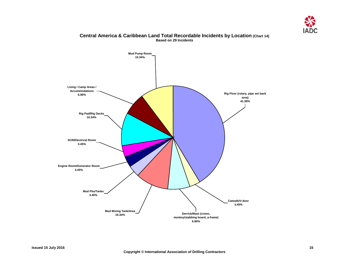

<span id="page-16-0"></span>

#### **Central America & Caribbean Land Total Recordable Incidents by Location (Chart 14) Based on 29 Incidents**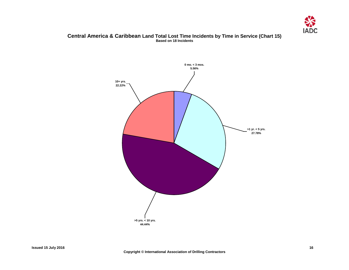

#### <span id="page-17-0"></span>**Central America & Caribbean Land Total Lost Time Incidents by Time in Service (Chart 15) Based on 18 Incidents**

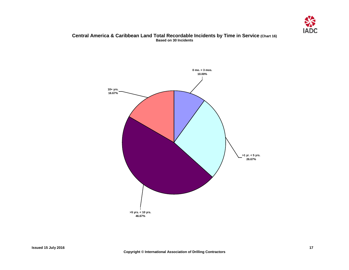

#### **Central America & Caribbean Land Total Recordable Incidents by Time in Service (Chart 16) Based on 30 Incidents**

<span id="page-18-0"></span>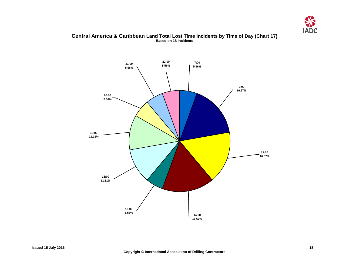

#### **Central America & Caribbean Land Total Lost Time Incidents by Time of Day (Chart 17) Based on 18 Incidents**

<span id="page-19-0"></span>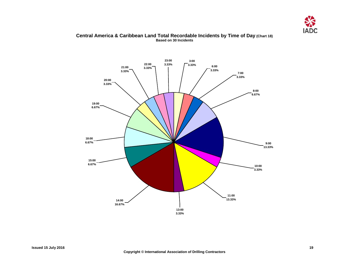

#### <span id="page-20-0"></span>3:00<br>3.33% **3.33% 6:00 3.33% 7:00 3.33% 8:00 6.67% 9:00 13.33% 10:00 3.33% 11:00 13.33% 18:00 6.67% 19:00 6.67% 15:00 6.67% 20:00 3.33% 21:00 3.33% 23:00 22:00 3.33% 3.33% 13:00 3.33% 14:00 16.67%**

#### **Central America & Caribbean Land Total Recordable Incidents by Time of Day (Chart 18) Based on 30 Incidents**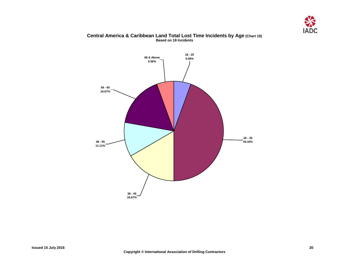![](_page_21_Picture_0.jpeg)

# **18 - 25 5.56% 26 - 35 44.44% 36 - 45 16.67% 46 - 55 11.11% 56 - 65 16.67% 66 & Above 5.56%**

#### **Central America & Caribbean Land Total Lost Time Incidents by Age (Chart 19) Based on 18 Incidents**